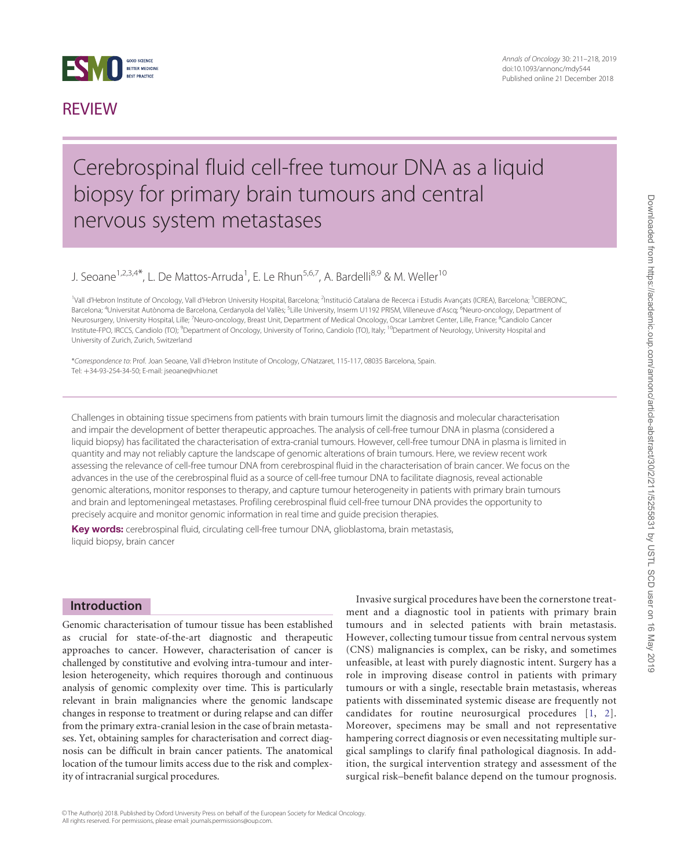<span id="page-0-0"></span>

# **REVIEW**

# Cerebrospinal fluid cell-free tumour DNA as a liquid biopsy for primary brain tumours and central nervous system metastases

J. Seoane<sup>1,2,3,4\*</sup>, L. De Mattos-Arruda<sup>1</sup>, E. Le Rhun<sup>5,6,7</sup>, A. Bardelli<sup>8,9</sup> & M. Weller<sup>10</sup>

<sup>1</sup>Vall d'Hebron Institute of Oncology, Vall d'Hebron University Hospital, Barcelona; <sup>2</sup>Institució Catalana de Recerca i Estudis Avançats (ICREA), Barcelona; <sup>3</sup>CIBERONC, Barcelona; <sup>4</sup>Universitat Autònoma de Barcelona, Cerdanyola del Vallès; <sup>5</sup>Lille University, Inserm U1192 PRISM, Villeneuve d'Ascq; <sup>6</sup>Neuro-oncology, Department of Neurosurgery, University Hospital, Lille; <sup>7</sup>Neuro-oncology, Breast Unit, Department of Medical Oncology, Oscar Lambret Center, Lille, France; <sup>8</sup>Candiolo Cancer Institute-FPO, IRCCS, Candiolo (TO); <sup>9</sup>Department of Oncology, University of Torino, Candiolo (TO), Italy; <sup>10</sup>Department of Neurology, University Hospital and University of Zurich, Zurich, Switzerland

\*Correspondence to: Prof. Joan Seoane, Vall d'Hebron Institute of Oncology, C/Natzaret, 115-117, 08035 Barcelona, Spain. Tel: þ34-93-254-34-50; E-mail: jseoane@vhio.net

Challenges in obtaining tissue specimens from patients with brain tumours limit the diagnosis and molecular characterisation and impair the development of better therapeutic approaches. The analysis of cell-free tumour DNA in plasma (considered a liquid biopsy) has facilitated the characterisation of extra-cranial tumours. However, cell-free tumour DNA in plasma is limited in quantity and may not reliably capture the landscape of genomic alterations of brain tumours. Here, we review recent work assessing the relevance of cell-free tumour DNA from cerebrospinal fluid in the characterisation of brain cancer. We focus on the advances in the use of the cerebrospinal fluid as a source of cell-free tumour DNA to facilitate diagnosis, reveal actionable genomic alterations, monitor responses to therapy, and capture tumour heterogeneity in patients with primary brain tumours and brain and leptomeningeal metastases. Profiling cerebrospinal fluid cell-free tumour DNA provides the opportunity to precisely acquire and monitor genomic information in real time and guide precision therapies.

Key words: cerebrospinal fluid, circulating cell-free tumour DNA, glioblastoma, brain metastasis, liquid biopsy, brain cancer

## Introduction

Genomic characterisation of tumour tissue has been established as crucial for state-of-the-art diagnostic and therapeutic approaches to cancer. However, characterisation of cancer is challenged by constitutive and evolving intra-tumour and interlesion heterogeneity, which requires thorough and continuous analysis of genomic complexity over time. This is particularly relevant in brain malignancies where the genomic landscape changes in response to treatment or during relapse and can differ from the primary extra-cranial lesion in the case of brain metastases. Yet, obtaining samples for characterisation and correct diagnosis can be difficult in brain cancer patients. The anatomical location of the tumour limits access due to the risk and complexity of intracranial surgical procedures.

Invasive surgical procedures have been the cornerstone treatment and a diagnostic tool in patients with primary brain tumours and in selected patients with brain metastasis. However, collecting tumour tissue from central nervous system (CNS) malignancies is complex, can be risky, and sometimes unfeasible, at least with purely diagnostic intent. Surgery has a role in improving disease control in patients with primary tumours or with a single, resectable brain metastasis, whereas patients with disseminated systemic disease are frequently not candidates for routine neurosurgical procedures [[1,](#page-5-0) [2](#page-5-0)]. Moreover, specimens may be small and not representative hampering correct diagnosis or even necessitating multiple surgical samplings to clarify final pathological diagnosis. In addition, the surgical intervention strategy and assessment of the surgical risk–benefit balance depend on the tumour prognosis.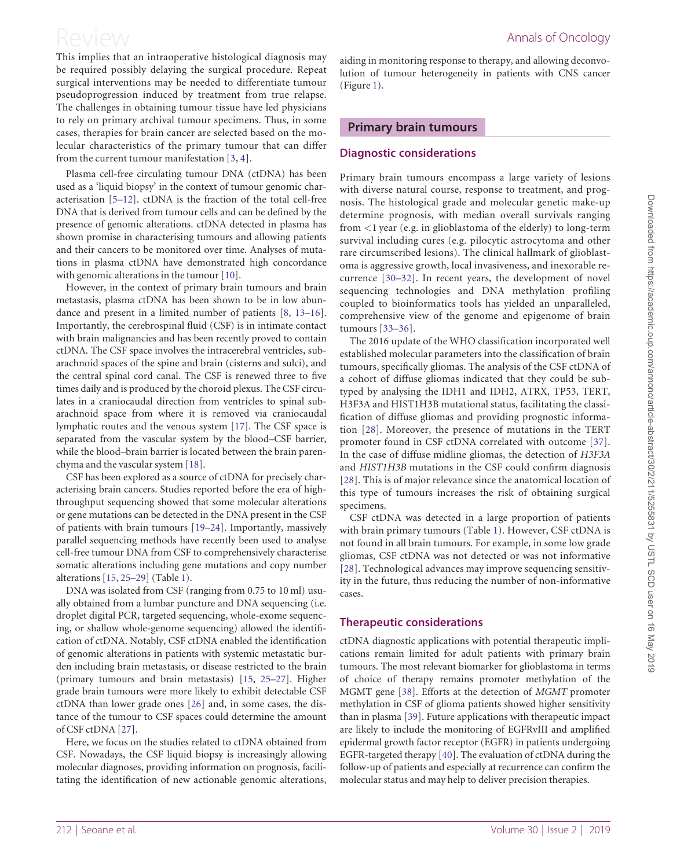# <span id="page-1-0"></span>Review Annals of Oncology

This implies that an intraoperative histological diagnosis may be required possibly delaying the surgical procedure. Repeat surgical interventions may be needed to differentiate tumour pseudoprogression induced by treatment from true relapse. The challenges in obtaining tumour tissue have led physicians to rely on primary archival tumour specimens. Thus, in some cases, therapies for brain cancer are selected based on the molecular characteristics of the primary tumour that can differ from the current tumour manifestation [[3](#page-5-0), [4](#page-5-0)].

Plasma cell-free circulating tumour DNA (ctDNA) has been used as a 'liquid biopsy' in the context of tumour genomic characterisation [\[5–](#page-5-0)[12\]](#page-6-0). ctDNA is the fraction of the total cell-free DNA that is derived from tumour cells and can be defined by the presence of genomic alterations. ctDNA detected in plasma has shown promise in characterising tumours and allowing patients and their cancers to be monitored over time. Analyses of mutations in plasma ctDNA have demonstrated high concordance with genomic alterations in the tumour [[10\]](#page-6-0).

However, in the context of primary brain tumours and brain metastasis, plasma ctDNA has been shown to be in low abundance and present in a limited number of patients [\[8,](#page-5-0) [13–16](#page-6-0)]. Importantly, the cerebrospinal fluid (CSF) is in intimate contact with brain malignancies and has been recently proved to contain ctDNA. The CSF space involves the intracerebral ventricles, subarachnoid spaces of the spine and brain (cisterns and sulci), and the central spinal cord canal. The CSF is renewed three to five times daily and is produced by the choroid plexus. The CSF circulates in a craniocaudal direction from ventricles to spinal subarachnoid space from where it is removed via craniocaudal lymphatic routes and the venous system [[17\]](#page-6-0). The CSF space is separated from the vascular system by the blood–CSF barrier, while the blood–brain barrier is located between the brain parenchyma and the vascular system [\[18](#page-6-0)].

CSF has been explored as a source of ctDNA for precisely characterising brain cancers. Studies reported before the era of highthroughput sequencing showed that some molecular alterations or gene mutations can be detected in the DNA present in the CSF of patients with brain tumours [[19–24\]](#page-6-0). Importantly, massively parallel sequencing methods have recently been used to analyse cell-free tumour DNA from CSF to comprehensively characterise somatic alterations including gene mutations and copy number alterations [[15,](#page-6-0) [25–29\]](#page-6-0) (Table [1](#page-2-0)).

DNA was isolated from CSF (ranging from 0.75 to 10 ml) usually obtained from a lumbar puncture and DNA sequencing (i.e. droplet digital PCR, targeted sequencing, whole-exome sequencing, or shallow whole-genome sequencing) allowed the identification of ctDNA. Notably, CSF ctDNA enabled the identification of genomic alterations in patients with systemic metastatic burden including brain metastasis, or disease restricted to the brain (primary tumours and brain metastasis) [\[15](#page-6-0), [25–27](#page-6-0)]. Higher grade brain tumours were more likely to exhibit detectable CSF ctDNA than lower grade ones [\[26](#page-6-0)] and, in some cases, the distance of the tumour to CSF spaces could determine the amount of CSF ctDNA [\[27\]](#page-6-0).

Here, we focus on the studies related to ctDNA obtained from CSF. Nowadays, the CSF liquid biopsy is increasingly allowing molecular diagnoses, providing information on prognosis, facilitating the identification of new actionable genomic alterations, aiding in monitoring response to therapy, and allowing deconvolution of tumour heterogeneity in patients with CNS cancer (Figure [1\)](#page-3-0).

# Primary brain tumours

## Diagnostic considerations

Primary brain tumours encompass a large variety of lesions with diverse natural course, response to treatment, and prognosis. The histological grade and molecular genetic make-up determine prognosis, with median overall survivals ranging from <1 year (e.g. in glioblastoma of the elderly) to long-term survival including cures (e.g. pilocytic astrocytoma and other rare circumscribed lesions). The clinical hallmark of glioblastoma is aggressive growth, local invasiveness, and inexorable recurrence [[30–32\]](#page-6-0). In recent years, the development of novel sequencing technologies and DNA methylation profiling coupled to bioinformatics tools has yielded an unparalleled, comprehensive view of the genome and epigenome of brain tumours [[33](#page-6-0)–[36](#page-6-0)].

The 2016 update of the WHO classification incorporated well established molecular parameters into the classification of brain tumours, specifically gliomas. The analysis of the CSF ctDNA of a cohort of diffuse gliomas indicated that they could be subtyped by analysing the IDH1 and IDH2, ATRX, TP53, TERT, H3F3A and HIST1H3B mutational status, facilitating the classification of diffuse gliomas and providing prognostic information [[28](#page-6-0)]. Moreover, the presence of mutations in the TERT promoter found in CSF ctDNA correlated with outcome [\[37\]](#page-6-0). In the case of diffuse midline gliomas, the detection of H3F3A and HIST1H3B mutations in the CSF could confirm diagnosis [[28](#page-6-0)]. This is of major relevance since the anatomical location of this type of tumours increases the risk of obtaining surgical specimens.

CSF ctDNA was detected in a large proportion of patients with brain primary tumours (Table [1\)](#page-2-0). However, CSF ctDNA is not found in all brain tumours. For example, in some low grade gliomas, CSF ctDNA was not detected or was not informative [[28](#page-6-0)]. Technological advances may improve sequencing sensitivity in the future, thus reducing the number of non-informative cases.

# Therapeutic considerations

ctDNA diagnostic applications with potential therapeutic implications remain limited for adult patients with primary brain tumours. The most relevant biomarker for glioblastoma in terms of choice of therapy remains promoter methylation of the MGMT gene [[38\]](#page-6-0). Efforts at the detection of MGMT promoter methylation in CSF of glioma patients showed higher sensitivity than in plasma [\[39](#page-6-0)]. Future applications with therapeutic impact are likely to include the monitoring of EGFRvIII and amplified epidermal growth factor receptor (EGFR) in patients undergoing EGFR-targeted therapy [[40\]](#page-6-0). The evaluation of ctDNA during the follow-up of patients and especially at recurrence can confirm the molecular status and may help to deliver precision therapies.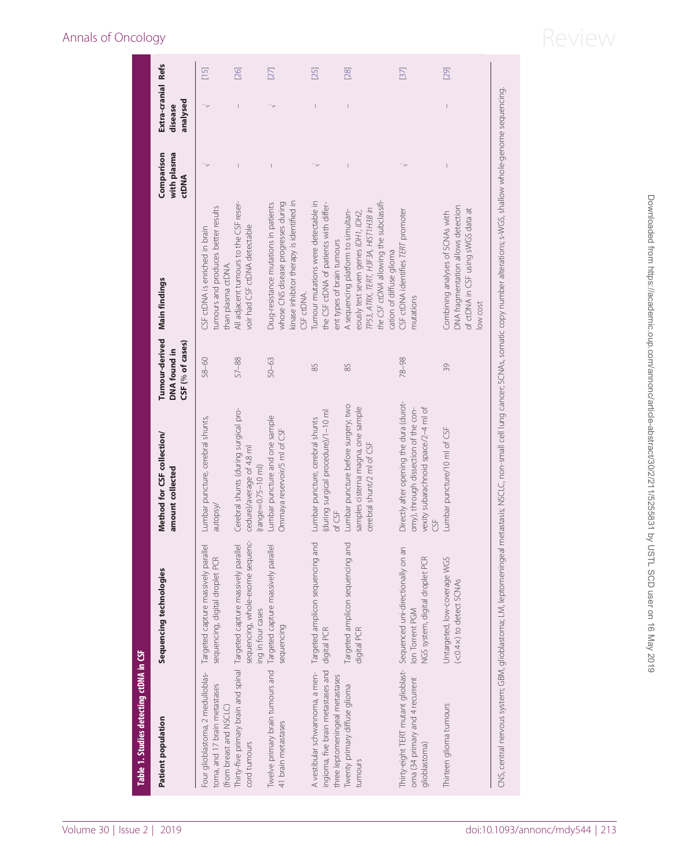| Table 1. Studies detecting ctDNA in CSF                                                                  |                                                                                                                                   |                                                                                                                                |                                                    |                                                                                                                                                                                          |                                           |                                           |        |
|----------------------------------------------------------------------------------------------------------|-----------------------------------------------------------------------------------------------------------------------------------|--------------------------------------------------------------------------------------------------------------------------------|----------------------------------------------------|------------------------------------------------------------------------------------------------------------------------------------------------------------------------------------------|-------------------------------------------|-------------------------------------------|--------|
| <b>Patient population</b>                                                                                | Sequencing technologies                                                                                                           | Method for CSF collection/<br>amount collected                                                                                 | Tumour-derived<br>CSF (% of cases)<br>DNA found in | <b>Main findings</b>                                                                                                                                                                     | with plasma<br>Comparison<br><b>CtDNA</b> | Extra-cranial Refs<br>analysed<br>disease |        |
| Four glioblastoma, 2 medulloblas-<br>toma, and 17 brain metastases<br>(from breast and NSCLC)            | Targeted capture massively parallel<br>sequencing, digital droplet PCR                                                            | Lumbar puncture, cerebral shunts,<br>Asdopte                                                                                   | $58 - 60$                                          | tumours and produces better results<br>CSF ctDNA is enriched in brain<br>than plasma ctDNA                                                                                               |                                           |                                           | [15]   |
| cord tumours                                                                                             | sequencing, whole-exome sequenc-<br>Thirty-five primary brain and spinal Targeted capture massively parallel<br>ing in four cases | Cerebral shunts (during surgical pro-<br>cedure)/average of 4.8 ml<br>$(\text{range}=0.75-10 \text{ ml})$                      | $57 - 88$                                          | All adjacent tumours to the CSF reser-<br>voir had CSF ctDNA detectable                                                                                                                  |                                           |                                           | $[26]$ |
| Twelve primary brain tumours and<br>41 brain metastases                                                  | Targeted capture massively parallel<br>sequencing                                                                                 | Lumbar puncture and one sample<br>Ommaya reservoir/5 ml of CSF                                                                 | 50-63                                              | kinase inhibitor therapy is identified in<br>whose CNS disease progresses during<br>Drug-resistance mutations in patients<br>CSF ctDNA                                                   |                                           |                                           | [27]   |
| ingioma, five brain metastases and<br>A vestibular schwannoma, a men-<br>three leptomeningeal metastases | Targeted amplicon sequencing and<br>digital PCR                                                                                   | (during surgical procedure)/1-10 ml<br>Lumbar puncture, cerebral shunts<br>of CSF                                              | 85                                                 | Tumour mutations were detectable in<br>the CSF ctDNA of patients with differ-<br>ent types of brain tumours                                                                              |                                           |                                           | $[25]$ |
| Twenty primary diffuse glioma<br>tumours                                                                 | Targeted amplicon sequencing and<br>digital PCR                                                                                   | Lumbar puncture before surgery; two<br>samples cisterna magna, one sample<br>cerebral shunt/2 ml of CSF                        | 85                                                 | the CSF ctDNA allowing the subclassifi-<br>TP53, ATRX, TERT, H3F3A, HIST1H3B in<br>A sequencing platform to simultan-<br>eously test seven genes IDH1, IDH2,<br>cation of diffuse glioma |                                           |                                           | $[28]$ |
| Thirty-eight TERT mutant glioblast-<br>oma (34 primary and 4 recurrent<br>qlioblastoma)                  | Sequenced uni-directionally on an<br>NGS system, digital droplet PCR<br>Ion Torrent PGM                                           | Directly after opening the dura (durot-<br>vexity subarachnoid space/2-4 ml of<br>omy), through dissection of the con-<br>55   | $78 - 98$                                          | CSF ctDNA identifies TERT promoter<br>mutations                                                                                                                                          |                                           |                                           | $[37]$ |
| Thirteen glioma tumours                                                                                  | Untargeted, low-coverage WGS<br>(<0.4×) to detect SCNAs                                                                           | Lumbar puncture/10 ml of CSF                                                                                                   | 39                                                 | DNA fragmentation allows detection<br>of ctDNA in CSF using sWGS data at<br>Combining analyses of SCNAs with<br>ow cost                                                                  |                                           |                                           | [29]   |
| CNS, central nervous system; GBM, glioblastoma; LM, leptomeningeal                                       |                                                                                                                                   | metastasis; NSCLC, non-small cell lung cancer; SCNAs, somatic copy number alterations; s-WGS, shallow whole-genome sequencing. |                                                    |                                                                                                                                                                                          |                                           |                                           |        |

# <span id="page-2-0"></span>Annals of Oncology  $\mathsf{Rev}$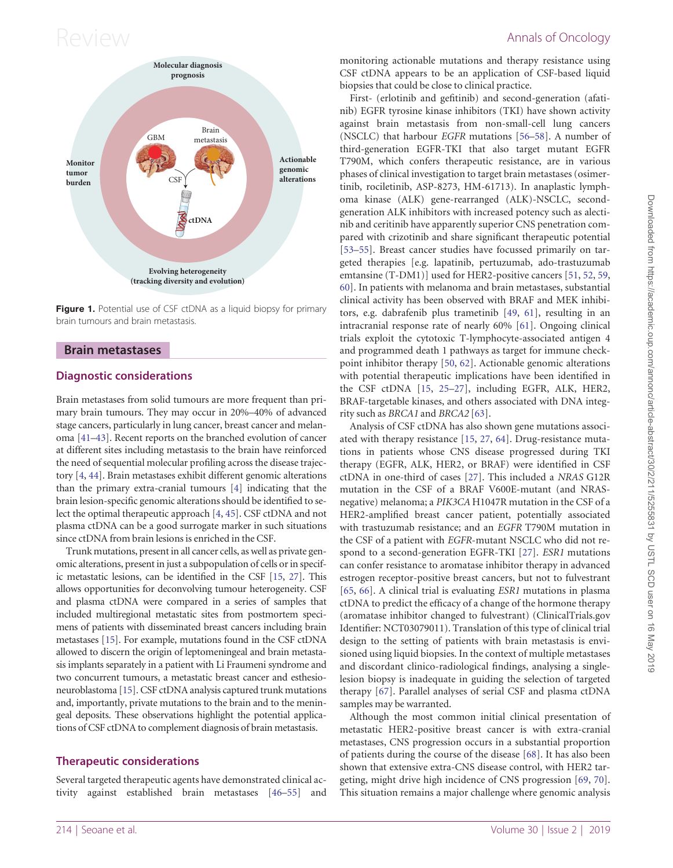# <span id="page-3-0"></span>Review Annals of Oncology



Figure 1. Potential use of CSF ctDNA as a liquid biopsy for primary brain tumours and brain metastasis.

## Brain metastases

## Diagnostic considerations

Brain metastases from solid tumours are more frequent than primary brain tumours. They may occur in 20%–40% of advanced stage cancers, particularly in lung cancer, breast cancer and melanoma [[41–43](#page-6-0)]. Recent reports on the branched evolution of cancer at different sites including metastasis to the brain have reinforced the need of sequential molecular profiling across the disease trajectory [\[4](#page-5-0), [44\]](#page-6-0). Brain metastases exhibit different genomic alterations than the primary extra-cranial tumours [\[4](#page-5-0)] indicating that the brain lesion-specific genomic alterations should be identified to select the optimal therapeutic approach [\[4,](#page-5-0) [45](#page-6-0)]. CSF ctDNA and not plasma ctDNA can be a good surrogate marker in such situations since ctDNA from brain lesions is enriched in the CSF.

Trunk mutations, present in all cancer cells, as well as private genomic alterations, present in just a subpopulation of cells or in specific metastatic lesions, can be identified in the CSF [\[15](#page-6-0), [27\]](#page-6-0). This allows opportunities for deconvolving tumour heterogeneity. CSF and plasma ctDNA were compared in a series of samples that included multiregional metastatic sites from postmortem specimens of patients with disseminated breast cancers including brain metastases [[15](#page-6-0)]. For example, mutations found in the CSF ctDNA allowed to discern the origin of leptomeningeal and brain metastasis implants separately in a patient with Li Fraumeni syndrome and two concurrent tumours, a metastatic breast cancer and esthesioneuroblastoma [[15](#page-6-0)]. CSF ctDNA analysis captured trunk mutations and, importantly, private mutations to the brain and to the meningeal deposits. These observations highlight the potential applications of CSF ctDNA to complement diagnosis of brain metastasis.

# Therapeutic considerations

Several targeted therapeutic agents have demonstrated clinical activity against established brain metastases [[46–](#page-6-0)[55](#page-7-0)] and

monitoring actionable mutations and therapy resistance using CSF ctDNA appears to be an application of CSF-based liquid biopsies that could be close to clinical practice.

First- (erlotinib and gefitinib) and second-generation (afatinib) EGFR tyrosine kinase inhibitors (TKI) have shown activity against brain metastasis from non-small-cell lung cancers (NSCLC) that harbour EGFR mutations [[56–58\]](#page-7-0). A number of third-generation EGFR-TKI that also target mutant EGFR T790M, which confers therapeutic resistance, are in various phases of clinical investigation to target brain metastases (osimertinib, rociletinib, ASP-8273, HM-61713). In anaplastic lymphoma kinase (ALK) gene-rearranged (ALK)-NSCLC, secondgeneration ALK inhibitors with increased potency such as alectinib and ceritinib have apparently superior CNS penetration compared with crizotinib and share significant therapeutic potential [[53](#page-6-0)–[55\]](#page-7-0). Breast cancer studies have focussed primarily on targeted therapies [e.g. lapatinib, pertuzumab, ado-trastuzumab emtansine (T-DM1)] used for HER2-positive cancers [\[51](#page-6-0), [52,](#page-6-0) [59](#page-7-0), [60](#page-7-0)]. In patients with melanoma and brain metastases, substantial clinical activity has been observed with BRAF and MEK inhibitors, e.g. dabrafenib plus trametinib [[49,](#page-6-0) [61](#page-7-0)], resulting in an intracranial response rate of nearly 60% [\[61](#page-7-0)]. Ongoing clinical trials exploit the cytotoxic T-lymphocyte-associated antigen 4 and programmed death 1 pathways as target for immune checkpoint inhibitor therapy [[50,](#page-6-0) [62\]](#page-7-0). Actionable genomic alterations with potential therapeutic implications have been identified in the CSF ctDNA [\[15](#page-6-0), [25–27\]](#page-6-0), including EGFR, ALK, HER2, BRAF-targetable kinases, and others associated with DNA integrity such as BRCA1 and BRCA2 [\[63](#page-7-0)].

Analysis of CSF ctDNA has also shown gene mutations associated with therapy resistance [[15](#page-6-0), [27](#page-6-0), [64](#page-7-0)]. Drug-resistance mutations in patients whose CNS disease progressed during TKI therapy (EGFR, ALK, HER2, or BRAF) were identified in CSF ctDNA in one-third of cases [\[27](#page-6-0)]. This included a NRAS G12R mutation in the CSF of a BRAF V600E-mutant (and NRASnegative) melanoma; a PIK3CA H1047R mutation in the CSF of a HER2-amplified breast cancer patient, potentially associated with trastuzumab resistance; and an EGFR T790M mutation in the CSF of a patient with EGFR-mutant NSCLC who did not respond to a second-generation EGFR-TKI [[27\]](#page-6-0). ESR1 mutations can confer resistance to aromatase inhibitor therapy in advanced estrogen receptor-positive breast cancers, but not to fulvestrant [[65](#page-7-0), [66](#page-7-0)]. A clinical trial is evaluating *ESR1* mutations in plasma ctDNA to predict the efficacy of a change of the hormone therapy (aromatase inhibitor changed to fulvestrant) (ClinicalTrials.gov Identifier: NCT03079011). Translation of this type of clinical trial design to the setting of patients with brain metastasis is envisioned using liquid biopsies. In the context of multiple metastases and discordant clinico-radiological findings, analysing a singlelesion biopsy is inadequate in guiding the selection of targeted therapy [[67](#page-7-0)]. Parallel analyses of serial CSF and plasma ctDNA samples may be warranted.

Although the most common initial clinical presentation of metastatic HER2-positive breast cancer is with extra-cranial metastases, CNS progression occurs in a substantial proportion of patients during the course of the disease [\[68](#page-7-0)]. It has also been shown that extensive extra-CNS disease control, with HER2 targeting, might drive high incidence of CNS progression [\[69,](#page-7-0) [70\]](#page-7-0). This situation remains a major challenge where genomic analysis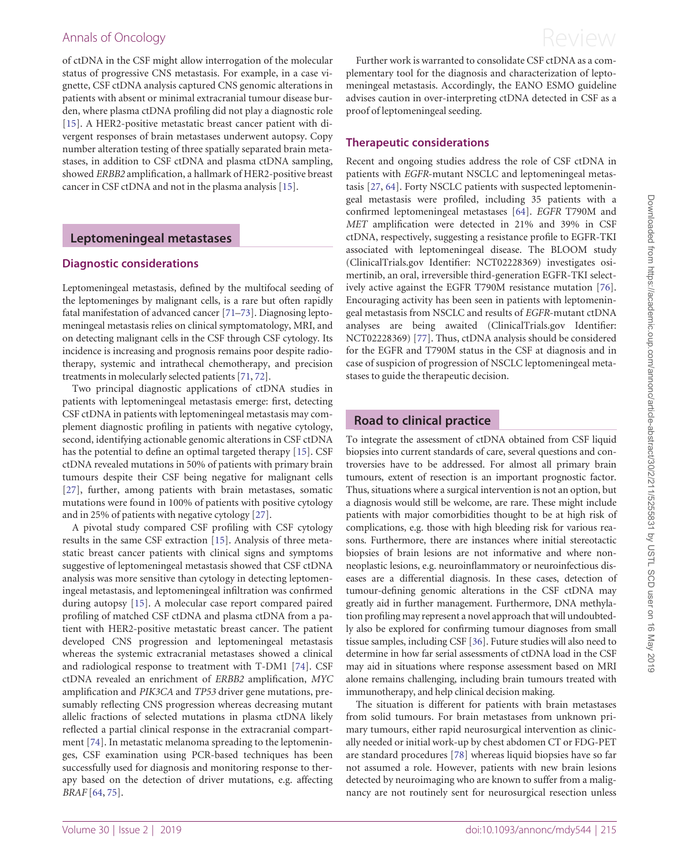of ctDNA in the CSF might allow interrogation of the molecular status of progressive CNS metastasis. For example, in a case vignette, CSF ctDNA analysis captured CNS genomic alterations in patients with absent or minimal extracranial tumour disease burden, where plasma ctDNA profiling did not play a diagnostic role [\[15](#page-6-0)]. A HER2-positive metastatic breast cancer patient with divergent responses of brain metastases underwent autopsy. Copy number alteration testing of three spatially separated brain metastases, in addition to CSF ctDNA and plasma ctDNA sampling, showed ERBB2 amplification, a hallmark of HER2-positive breast cancer in CSF ctDNA and not in the plasma analysis [[15](#page-6-0)].

# Leptomeningeal metastases

### Diagnostic considerations

Leptomeningeal metastasis, defined by the multifocal seeding of the leptomeninges by malignant cells, is a rare but often rapidly fatal manifestation of advanced cancer [\[71–73\]](#page-7-0). Diagnosing leptomeningeal metastasis relies on clinical symptomatology, MRI, and on detecting malignant cells in the CSF through CSF cytology. Its incidence is increasing and prognosis remains poor despite radiotherapy, systemic and intrathecal chemotherapy, and precision treatments in molecularly selected patients [\[71,](#page-7-0) [72\]](#page-7-0).

Two principal diagnostic applications of ctDNA studies in patients with leptomeningeal metastasis emerge: first, detecting CSF ctDNA in patients with leptomeningeal metastasis may complement diagnostic profiling in patients with negative cytology, second, identifying actionable genomic alterations in CSF ctDNA has the potential to define an optimal targeted therapy [\[15](#page-6-0)]. CSF ctDNA revealed mutations in 50% of patients with primary brain tumours despite their CSF being negative for malignant cells [\[27](#page-6-0)], further, among patients with brain metastases, somatic mutations were found in 100% of patients with positive cytology and in 25% of patients with negative cytology [[27\]](#page-6-0).

A pivotal study compared CSF profiling with CSF cytology results in the same CSF extraction [[15\]](#page-6-0). Analysis of three metastatic breast cancer patients with clinical signs and symptoms suggestive of leptomeningeal metastasis showed that CSF ctDNA analysis was more sensitive than cytology in detecting leptomeningeal metastasis, and leptomeningeal infiltration was confirmed during autopsy [\[15](#page-6-0)]. A molecular case report compared paired profiling of matched CSF ctDNA and plasma ctDNA from a patient with HER2-positive metastatic breast cancer. The patient developed CNS progression and leptomeningeal metastasis whereas the systemic extracranial metastases showed a clinical and radiological response to treatment with T-DM1 [[74\]](#page-7-0). CSF ctDNA revealed an enrichment of ERBB2 amplification, MYC amplification and PIK3CA and TP53 driver gene mutations, presumably reflecting CNS progression whereas decreasing mutant allelic fractions of selected mutations in plasma ctDNA likely reflected a partial clinical response in the extracranial compartment [\[74](#page-7-0)]. In metastatic melanoma spreading to the leptomeninges, CSF examination using PCR-based techniques has been successfully used for diagnosis and monitoring response to therapy based on the detection of driver mutations, e.g. affecting BRAF [\[64](#page-7-0), [75\]](#page-7-0).

# <span id="page-4-0"></span>Annals of Oncology  $\mathsf{Review}$

Further work is warranted to consolidate CSF ctDNA as a complementary tool for the diagnosis and characterization of leptomeningeal metastasis. Accordingly, the EANO ESMO guideline advises caution in over-interpreting ctDNA detected in CSF as a proof of leptomeningeal seeding.

# Therapeutic considerations

Recent and ongoing studies address the role of CSF ctDNA in patients with EGFR-mutant NSCLC and leptomeningeal metastasis [\[27](#page-6-0), [64](#page-7-0)]. Forty NSCLC patients with suspected leptomeningeal metastasis were profiled, including 35 patients with a confirmed leptomeningeal metastases [\[64\]](#page-7-0). EGFR T790M and MET amplification were detected in 21% and 39% in CSF ctDNA, respectively, suggesting a resistance profile to EGFR-TKI associated with leptomeningeal disease. The BLOOM study (ClinicalTrials.gov Identifier: NCT02228369) investigates osimertinib, an oral, irreversible third-generation EGFR-TKI selectively active against the EGFR T790M resistance mutation [\[76](#page-7-0)]. Encouraging activity has been seen in patients with leptomeningeal metastasis from NSCLC and results of EGFR-mutant ctDNA analyses are being awaited (ClinicalTrials.gov Identifier: NCT02228369) [[77\]](#page-7-0). Thus, ctDNA analysis should be considered for the EGFR and T790M status in the CSF at diagnosis and in case of suspicion of progression of NSCLC leptomeningeal metastases to guide the therapeutic decision.

# Road to clinical practice

To integrate the assessment of ctDNA obtained from CSF liquid biopsies into current standards of care, several questions and controversies have to be addressed. For almost all primary brain tumours, extent of resection is an important prognostic factor. Thus, situations where a surgical intervention is not an option, but a diagnosis would still be welcome, are rare. These might include patients with major comorbidities thought to be at high risk of complications, e.g. those with high bleeding risk for various reasons. Furthermore, there are instances where initial stereotactic biopsies of brain lesions are not informative and where nonneoplastic lesions, e.g. neuroinflammatory or neuroinfectious diseases are a differential diagnosis. In these cases, detection of tumour-defining genomic alterations in the CSF ctDNA may greatly aid in further management. Furthermore, DNA methylation profiling may represent a novel approach that will undoubtedly also be explored for confirming tumour diagnoses from small tissue samples, including CSF [\[36\]](#page-6-0). Future studies will also need to determine in how far serial assessments of ctDNA load in the CSF may aid in situations where response assessment based on MRI alone remains challenging, including brain tumours treated with immunotherapy, and help clinical decision making.

The situation is different for patients with brain metastases from solid tumours. For brain metastases from unknown primary tumours, either rapid neurosurgical intervention as clinically needed or initial work-up by chest abdomen CT or FDG-PET are standard procedures [\[78\]](#page-7-0) whereas liquid biopsies have so far not assumed a role. However, patients with new brain lesions detected by neuroimaging who are known to suffer from a malignancy are not routinely sent for neurosurgical resection unless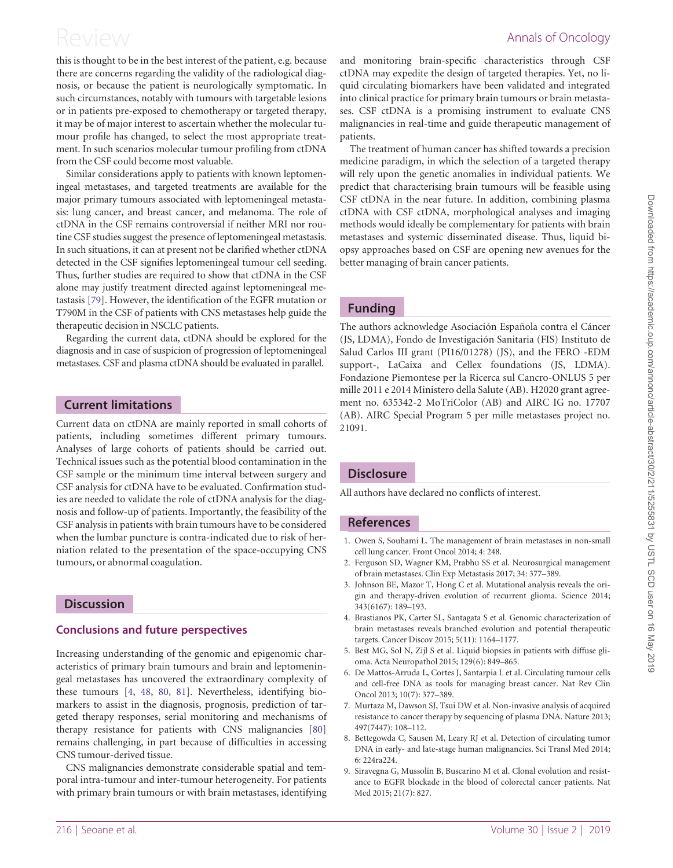# Download from https://academic.oup.com/act/302011152633333122111526333331112012011201201120120120120 Downloaded from https://academic.oup.com/annonc/article-abstract/30/2/211/5255831 by USTL SCD user on 16 May 2019

<span id="page-5-0"></span>this is thought to be in the best interest of the patient, e.g. because there are concerns regarding the validity of the radiological diagnosis, or because the patient is neurologically symptomatic. In such circumstances, notably with tumours with targetable lesions or in patients pre-exposed to chemotherapy or targeted therapy, it may be of major interest to ascertain whether the molecular tumour profile has changed, to select the most appropriate treatment. In such scenarios molecular tumour profiling from ctDNA from the CSF could become most valuable.

Similar considerations apply to patients with known leptomeningeal metastases, and targeted treatments are available for the major primary tumours associated with leptomeningeal metastasis: lung cancer, and breast cancer, and melanoma. The role of ctDNA in the CSF remains controversial if neither MRI nor routine CSF studies suggest the presence of leptomeningeal metastasis. In such situations, it can at present not be clarified whether ctDNA detected in the CSF signifies leptomeningeal tumour cell seeding. Thus, further studies are required to show that ctDNA in the CSF alone may justify treatment directed against leptomeningeal metastasis [[79\]](#page-7-0). However, the identification of the EGFR mutation or T790M in the CSF of patients with CNS metastases help guide the therapeutic decision in NSCLC patients.

Regarding the current data, ctDNA should be explored for the diagnosis and in case of suspicion of progression of leptomeningeal metastases. CSF and plasma ctDNA should be evaluated in parallel.

# Current limitations

Current data on ctDNA are mainly reported in small cohorts of patients, including sometimes different primary tumours. Analyses of large cohorts of patients should be carried out. Technical issues such as the potential blood contamination in the CSF sample or the minimum time interval between surgery and CSF analysis for ctDNA have to be evaluated. Confirmation studies are needed to validate the role of ctDNA analysis for the diagnosis and follow-up of patients. Importantly, the feasibility of the CSF analysis in patients with brain tumours have to be considered when the lumbar puncture is contra-indicated due to risk of herniation related to the presentation of the space-occupying CNS tumours, or abnormal coagulation.

# **Discussion**

# Conclusions and future perspectives

Increasing understanding of the genomic and epigenomic characteristics of primary brain tumours and brain and leptomeningeal metastases has uncovered the extraordinary complexity of these tumours [4, [48](#page-6-0), [80](#page-7-0), [81\]](#page-7-0). Nevertheless, identifying biomarkers to assist in the diagnosis, prognosis, prediction of targeted therapy responses, serial monitoring and mechanisms of therapy resistance for patients with CNS malignancies [[80\]](#page-7-0) remains challenging, in part because of difficulties in accessing CNS tumour-derived tissue.

CNS malignancies demonstrate considerable spatial and temporal intra-tumour and inter-tumour heterogeneity. For patients with primary brain tumours or with brain metastases, identifying and monitoring brain-specific characteristics through CSF ctDNA may expedite the design of targeted therapies. Yet, no liquid circulating biomarkers have been validated and integrated into clinical practice for primary brain tumours or brain metastases. CSF ctDNA is a promising instrument to evaluate CNS malignancies in real-time and guide therapeutic management of patients.

The treatment of human cancer has shifted towards a precision medicine paradigm, in which the selection of a targeted therapy will rely upon the genetic anomalies in individual patients. We predict that characterising brain tumours will be feasible using CSF ctDNA in the near future. In addition, combining plasma ctDNA with CSF ctDNA, morphological analyses and imaging methods would ideally be complementary for patients with brain metastases and systemic disseminated disease. Thus, liquid biopsy approaches based on CSF are opening new avenues for the better managing of brain cancer patients.

# Funding

The authors acknowledge Asociación Española contra el Cáncer (JS, LDMA), Fondo de Investigación Sanitaria (FIS) Instituto de Salud Carlos III grant (PI16/01278) (JS), and the FERO -EDM support-, LaCaixa and Cellex foundations (JS, LDMA). Fondazione Piemontese per la Ricerca sul Cancro-ONLUS 5 per mille 2011 e 2014 Ministero della Salute (AB). H2020 grant agreement no. 635342-2 MoTriColor (AB) and AIRC IG no. 17707 (AB). AIRC Special Program 5 per mille metastases project no. 21091.

# **Disclosure**

All authors have declared no conflicts of interest.

# References

- [1.](#page-0-0) Owen S, Souhami L. The management of brain metastases in non-small cell lung cancer. Front Oncol 2014; 4: 248.
- [2.](#page-0-0) Ferguson SD, Wagner KM, Prabhu SS et al. Neurosurgical management of brain metastases. Clin Exp Metastasis 2017; 34: 377–389.
- [3.](#page-1-0) Johnson BE, Mazor T, Hong C et al. Mutational analysis reveals the origin and therapy-driven evolution of recurrent glioma. Science 2014; 343(6167): 189–193.
- [4.](#page-1-0) Brastianos PK, Carter SL, Santagata S et al. Genomic characterization of brain metastases reveals branched evolution and potential therapeutic targets. Cancer Discov 2015; 5(11): 1164–1177.
- 5. Best MG, Sol N, Zijl S et al. Liquid biopsies in patients with diffuse glioma. Acta Neuropathol 2015; 129(6): 849–865.
- 6. De Mattos-Arruda L, Cortes J, Santarpia L et al. Circulating tumour cells and cell-free DNA as tools for managing breast cancer. Nat Rev Clin Oncol 2013; 10(7): 377–389.
- 7. Murtaza M, Dawson SJ, Tsui DW et al. Non-invasive analysis of acquired resistance to cancer therapy by sequencing of plasma DNA. Nature 2013; 497(7447): 108–112.
- [8.](#page-1-0) Bettegowda C, Sausen M, Leary RJ et al. Detection of circulating tumor DNA in early- and late-stage human malignancies. Sci Transl Med 2014; 6: 224ra224.
- 9. Siravegna G, Mussolin B, Buscarino M et al. Clonal evolution and resistance to EGFR blockade in the blood of colorectal cancer patients. Nat Med 2015; 21(7): 827.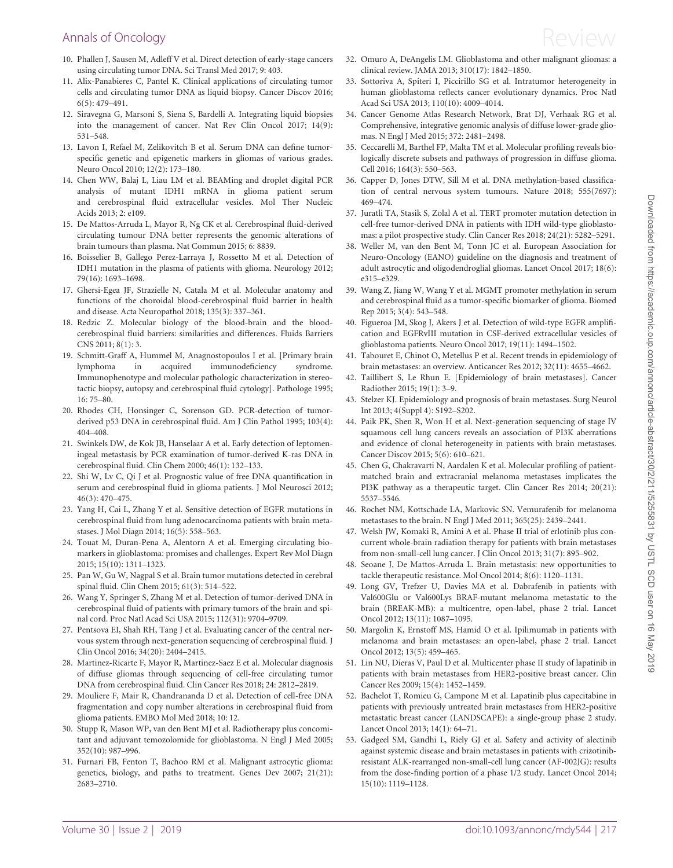- [10](#page-1-0). Phallen J, Sausen M, Adleff V et al. Direct detection of early-stage cancers using circulating tumor DNA. Sci Transl Med 2017; 9: 403.
- 11. Alix-Panabieres C, Pantel K. Clinical applications of circulating tumor cells and circulating tumor DNA as liquid biopsy. Cancer Discov 2016; 6(5): 479–491.
- 12. Siravegna G, Marsoni S, Siena S, Bardelli A. Integrating liquid biopsies into the management of cancer. Nat Rev Clin Oncol 2017; 14(9): 531–548.
- 13. Lavon I, Refael M, Zelikovitch B et al. Serum DNA can define tumorspecific genetic and epigenetic markers in gliomas of various grades. Neuro Oncol 2010; 12(2): 173–180.
- 14. Chen WW, Balaj L, Liau LM et al. BEAMing and droplet digital PCR analysis of mutant IDH1 mRNA in glioma patient serum and cerebrospinal fluid extracellular vesicles. Mol Ther Nucleic Acids 2013; 2: e109.
- [15](#page-1-0). De Mattos-Arruda L, Mayor R, Ng CK et al. Cerebrospinal fluid-derived circulating tumour DNA better represents the genomic alterations of brain tumours than plasma. Nat Commun 2015; 6: 8839.
- 16. Boisselier B, Gallego Perez-Larraya J, Rossetto M et al. Detection of IDH1 mutation in the plasma of patients with glioma. Neurology 2012; 79(16): 1693–1698.
- [17](#page-1-0). Ghersi-Egea JF, Strazielle N, Catala M et al. Molecular anatomy and functions of the choroidal blood-cerebrospinal fluid barrier in health and disease. Acta Neuropathol 2018; 135(3): 337–361.
- [18](#page-1-0). Redzic Z. Molecular biology of the blood-brain and the bloodcerebrospinal fluid barriers: similarities and differences. Fluids Barriers  $CNS$  2011:  $8(1):$  3.
- 19. Schmitt-Graff A, Hummel M, Anagnostopoulos I et al. [Primary brain lymphoma in acquired immunodeficiency syndrome. Immunophenotype and molecular pathologic characterization in stereotactic biopsy, autopsy and cerebrospinal fluid cytology]. Pathologe 1995; 16: 75–80.
- 20. Rhodes CH, Honsinger C, Sorenson GD. PCR-detection of tumorderived p53 DNA in cerebrospinal fluid. Am J Clin Pathol 1995; 103(4): 404–408.
- 21. Swinkels DW, de Kok JB, Hanselaar A et al. Early detection of leptomeningeal metastasis by PCR examination of tumor-derived K-ras DNA in cerebrospinal fluid. Clin Chem 2000; 46(1): 132–133.
- 22. Shi W, Lv C, Qi J et al. Prognostic value of free DNA quantification in serum and cerebrospinal fluid in glioma patients. J Mol Neurosci 2012; 46(3): 470–475.
- 23. Yang H, Cai L, Zhang Y et al. Sensitive detection of EGFR mutations in cerebrospinal fluid from lung adenocarcinoma patients with brain metastases. J Mol Diagn 2014; 16(5): 558–563.
- 24. Touat M, Duran-Pena A, Alentorn A et al. Emerging circulating biomarkers in glioblastoma: promises and challenges. Expert Rev Mol Diagn 2015; 15(10): 1311–1323.
- [25](#page-2-0). Pan W, Gu W, Nagpal S et al. Brain tumor mutations detected in cerebral spinal fluid. Clin Chem 2015; 61(3): 514–522.
- [26](#page-1-0). Wang Y, Springer S, Zhang M et al. Detection of tumor-derived DNA in cerebrospinal fluid of patients with primary tumors of the brain and spinal cord. Proc Natl Acad Sci USA 2015; 112(31): 9704–9709.
- [27](#page-1-0). Pentsova EI, Shah RH, Tang J et al. Evaluating cancer of the central nervous system through next-generation sequencing of cerebrospinal fluid. J Clin Oncol 2016; 34(20): 2404–2415.
- [28](#page-1-0). Martinez-Ricarte F, Mayor R, Martinez-Saez E et al. Molecular diagnosis of diffuse gliomas through sequencing of cell-free circulating tumor DNA from cerebrospinal fluid. Clin Cancer Res 2018; 24: 2812–2819.
- [29](#page-2-0). Mouliere F, Mair R, Chandrananda D et al. Detection of cell-free DNA fragmentation and copy number alterations in cerebrospinal fluid from glioma patients. EMBO Mol Med 2018; 10: 12.
- 30. Stupp R, Mason WP, van den Bent MJ et al. Radiotherapy plus concomitant and adjuvant temozolomide for glioblastoma. N Engl J Med 2005; 352(10): 987–996.
- 31. Furnari FB, Fenton T, Bachoo RM et al. Malignant astrocytic glioma: genetics, biology, and paths to treatment. Genes Dev 2007; 21(21): 2683–2710.
- 32. Omuro A, DeAngelis LM. Glioblastoma and other malignant gliomas: a clinical review. JAMA 2013; 310(17): 1842–1850.
- 33. Sottoriva A, Spiteri I, Piccirillo SG et al. Intratumor heterogeneity in human glioblastoma reflects cancer evolutionary dynamics. Proc Natl Acad Sci USA 2013; 110(10): 4009–4014.
- 34. Cancer Genome Atlas Research Network, Brat DJ, Verhaak RG et al. Comprehensive, integrative genomic analysis of diffuse lower-grade gliomas. N Engl J Med 2015; 372: 2481–2498.
- 35. Ceccarelli M, Barthel FP, Malta TM et al. Molecular profiling reveals biologically discrete subsets and pathways of progression in diffuse glioma. Cell 2016; 164(3): 550–563.
- [36.](#page-4-0) Capper D, Jones DTW, Sill M et al. DNA methylation-based classification of central nervous system tumours. Nature 2018; 555(7697): 469–474.
- [37.](#page-1-0) Juratli TA, Stasik S, Zolal A et al. TERT promoter mutation detection in cell-free tumor-derived DNA in patients with IDH wild-type glioblastomas: a pilot prospective study. Clin Cancer Res 2018; 24(21): 5282–5291.
- [38.](#page-1-0) Weller M, van den Bent M, Tonn JC et al. European Association for Neuro-Oncology (EANO) guideline on the diagnosis and treatment of adult astrocytic and oligodendroglial gliomas. Lancet Oncol 2017; 18(6): e315–e329.
- [39.](#page-1-0) Wang Z, Jiang W, Wang Y et al. MGMT promoter methylation in serum and cerebrospinal fluid as a tumor-specific biomarker of glioma. Biomed Rep 2015; 3(4): 543–548.
- [40.](#page-1-0) Figueroa JM, Skog J, Akers J et al. Detection of wild-type EGFR amplification and EGFRvIII mutation in CSF-derived extracellular vesicles of glioblastoma patients. Neuro Oncol 2017; 19(11): 1494–1502.
- 41. Tabouret E, Chinot O, Metellus P et al. Recent trends in epidemiology of brain metastases: an overview. Anticancer Res 2012; 32(11): 4655–4662.
- 42. Taillibert S, Le Rhun E. [Epidemiology of brain metastases]. Cancer Radiother 2015; 19(1): 3–9.
- 43. Stelzer KJ. Epidemiology and prognosis of brain metastases. Surg Neurol Int 2013; 4(Suppl 4): S192–S202.
- [44.](#page-3-0) Paik PK, Shen R, Won H et al. Next-generation sequencing of stage IV squamous cell lung cancers reveals an association of PI3K aberrations and evidence of clonal heterogeneity in patients with brain metastases. Cancer Discov 2015; 5(6): 610–621.
- [45.](#page-3-0) Chen G, Chakravarti N, Aardalen K et al. Molecular profiling of patientmatched brain and extracranial melanoma metastases implicates the PI3K pathway as a therapeutic target. Clin Cancer Res 2014; 20(21): 5537–5546.
- 46. Rochet NM, Kottschade LA, Markovic SN. Vemurafenib for melanoma metastases to the brain. N Engl J Med 2011; 365(25): 2439–2441.
- 47. Welsh JW, Komaki R, Amini A et al. Phase II trial of erlotinib plus concurrent whole-brain radiation therapy for patients with brain metastases from non-small-cell lung cancer. J Clin Oncol 2013; 31(7): 895–902.
- [48.](#page-5-0) Seoane J, De Mattos-Arruda L. Brain metastasis: new opportunities to tackle therapeutic resistance. Mol Oncol 2014; 8(6): 1120–1131.
- [49.](#page-3-0) Long GV, Trefzer U, Davies MA et al. Dabrafenib in patients with Val600Glu or Val600Lys BRAF-mutant melanoma metastatic to the brain (BREAK-MB): a multicentre, open-label, phase 2 trial. Lancet Oncol 2012; 13(11): 1087–1095.
- [50.](#page-3-0) Margolin K, Ernstoff MS, Hamid O et al. Ipilimumab in patients with melanoma and brain metastases: an open-label, phase 2 trial. Lancet Oncol 2012; 13(5): 459–465.
- [51.](#page-3-0) Lin NU, Dieras V, Paul D et al. Multicenter phase II study of lapatinib in patients with brain metastases from HER2-positive breast cancer. Clin Cancer Res 2009; 15(4): 1452–1459.
- [52.](#page-3-0) Bachelot T, Romieu G, Campone M et al. Lapatinib plus capecitabine in patients with previously untreated brain metastases from HER2-positive metastatic breast cancer (LANDSCAPE): a single-group phase 2 study. Lancet Oncol 2013; 14(1): 64–71.
- 53. Gadgeel SM, Gandhi L, Riely GJ et al. Safety and activity of alectinib against systemic disease and brain metastases in patients with crizotinibresistant ALK-rearranged non-small-cell lung cancer (AF-002JG): results from the dose-finding portion of a phase 1/2 study. Lancet Oncol 2014; 15(10): 1119–1128.

<span id="page-6-0"></span>Annals of Oncology  $\mathsf{Review}$